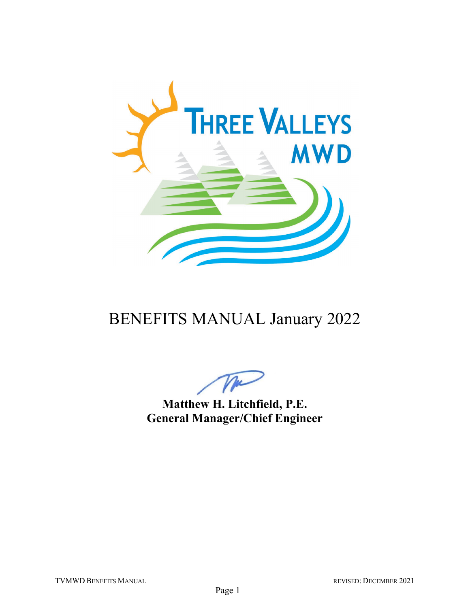

## BENEFITS MANUAL January 2022

**Matthew H. Litchfield, P.E. General Manager/Chief Engineer**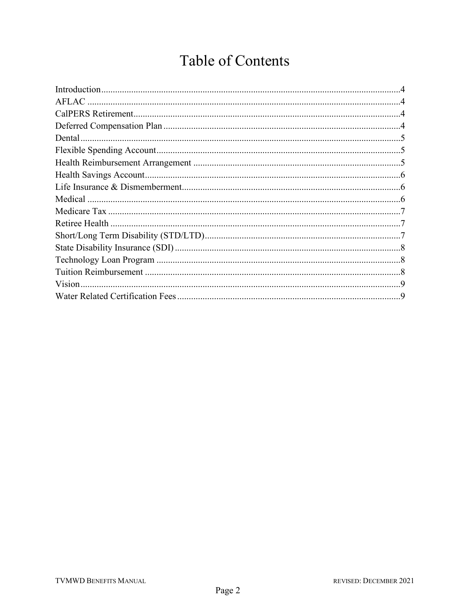## **Table of Contents**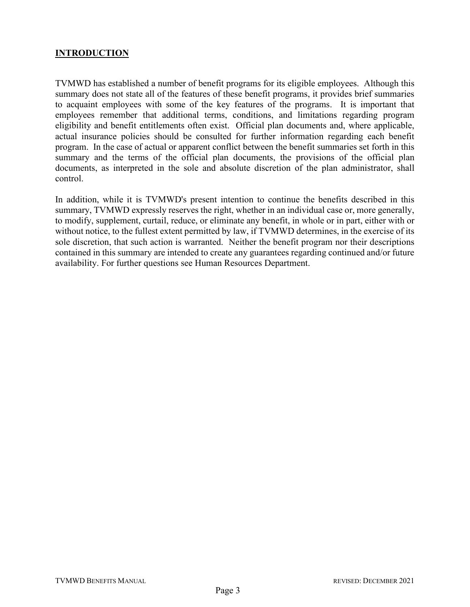## **INTRODUCTION**

TVMWD has established a number of benefit programs for its eligible employees. Although this summary does not state all of the features of these benefit programs, it provides brief summaries to acquaint employees with some of the key features of the programs. It is important that employees remember that additional terms, conditions, and limitations regarding program eligibility and benefit entitlements often exist. Official plan documents and, where applicable, actual insurance policies should be consulted for further information regarding each benefit program. In the case of actual or apparent conflict between the benefit summaries set forth in this summary and the terms of the official plan documents, the provisions of the official plan documents, as interpreted in the sole and absolute discretion of the plan administrator, shall control.

In addition, while it is TVMWD's present intention to continue the benefits described in this summary, TVMWD expressly reserves the right, whether in an individual case or, more generally, to modify, supplement, curtail, reduce, or eliminate any benefit, in whole or in part, either with or without notice, to the fullest extent permitted by law, if TVMWD determines, in the exercise of its sole discretion, that such action is warranted. Neither the benefit program nor their descriptions contained in this summary are intended to create any guarantees regarding continued and/or future availability. For further questions see Human Resources Department.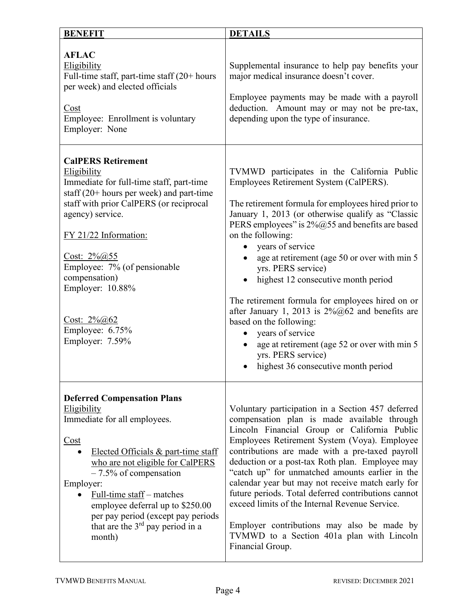| <b>BENEFIT</b>                                                                                                                                                                                                                                                                                                                                                                     | <b>DETAILS</b>                                                                                                                                                                                                                                                                                                                                                                                                                                                                                                                                                                                                                                                                   |
|------------------------------------------------------------------------------------------------------------------------------------------------------------------------------------------------------------------------------------------------------------------------------------------------------------------------------------------------------------------------------------|----------------------------------------------------------------------------------------------------------------------------------------------------------------------------------------------------------------------------------------------------------------------------------------------------------------------------------------------------------------------------------------------------------------------------------------------------------------------------------------------------------------------------------------------------------------------------------------------------------------------------------------------------------------------------------|
| <b>AFLAC</b><br>Eligibility<br>Full-time staff, part-time staff $(20+)$ hours<br>per week) and elected officials<br>Cost<br>Employee: Enrollment is voluntary<br>Employer: None                                                                                                                                                                                                    | Supplemental insurance to help pay benefits your<br>major medical insurance doesn't cover.<br>Employee payments may be made with a payroll<br>deduction. Amount may or may not be pre-tax,<br>depending upon the type of insurance.                                                                                                                                                                                                                                                                                                                                                                                                                                              |
| <b>CalPERS Retirement</b><br><b>Eligibility</b><br>Immediate for full-time staff, part-time<br>staff $(20+$ hours per week) and part-time<br>staff with prior CalPERS (or reciprocal<br>agency) service.<br>FY 21/22 Information:<br>Cost: $2\% @ 55$<br>Employee: 7% (of pensionable<br>compensation)<br>Employer: 10.88%<br>Cost: $2\%@62$<br>Employee: 6.75%<br>Employer: 7.59% | TVMWD participates in the California Public<br>Employees Retirement System (CalPERS).<br>The retirement formula for employees hired prior to<br>January 1, 2013 (or otherwise qualify as "Classic<br>PERS employees" is 2%@55 and benefits are based<br>on the following:<br>years of service<br>age at retirement (age 50 or over with min 5<br>yrs. PERS service)<br>highest 12 consecutive month period<br>The retirement formula for employees hired on or<br>after January 1, 2013 is $2\%@62$ and benefits are<br>based on the following:<br>years of service<br>age at retirement (age 52 or over with min 5<br>yrs. PERS service)<br>highest 36 consecutive month period |
| <b>Deferred Compensation Plans</b><br>Eligibility<br>Immediate for all employees.<br>Cost<br>Elected Officials & part-time staff<br>who are not eligible for CalPERS<br>$-7.5\%$ of compensation<br>Employer:<br>Full-time staff – matches<br>employee deferral up to \$250.00<br>per pay period (except pay periods<br>that are the $3rd$ pay period in a<br>month)               | Voluntary participation in a Section 457 deferred<br>compensation plan is made available through<br>Lincoln Financial Group or California Public<br>Employees Retirement System (Voya). Employee<br>contributions are made with a pre-taxed payroll<br>deduction or a post-tax Roth plan. Employee may<br>"catch up" for unmatched amounts earlier in the<br>calendar year but may not receive match early for<br>future periods. Total deferred contributions cannot<br>exceed limits of the Internal Revenue Service.<br>Employer contributions may also be made by<br>TVMWD to a Section 401a plan with Lincoln<br>Financial Group.                                           |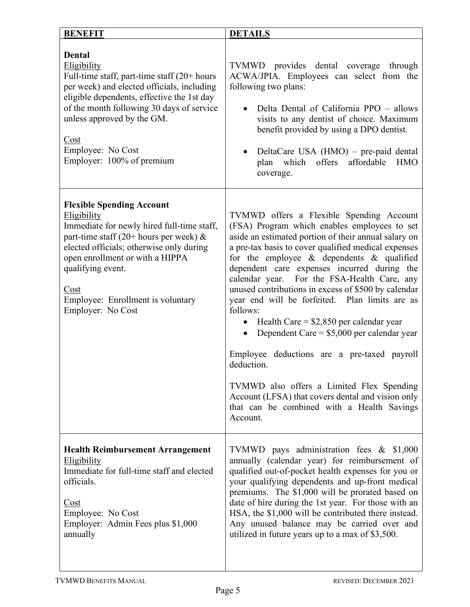| <b>BENEFIT</b>                                                                                                                                                                                                                                                                                                   | <b>DETAILS</b>                                                                                                                                                                                                                                                                                                                                                                                                                                                                                                                                                                                                                                                                                                                                                                                           |
|------------------------------------------------------------------------------------------------------------------------------------------------------------------------------------------------------------------------------------------------------------------------------------------------------------------|----------------------------------------------------------------------------------------------------------------------------------------------------------------------------------------------------------------------------------------------------------------------------------------------------------------------------------------------------------------------------------------------------------------------------------------------------------------------------------------------------------------------------------------------------------------------------------------------------------------------------------------------------------------------------------------------------------------------------------------------------------------------------------------------------------|
| <b>Dental</b><br>Eligibility<br>Full-time staff, part-time staff $(20+)$ hours<br>per week) and elected officials, including<br>eligible dependents, effective the 1st day<br>of the month following 30 days of service<br>unless approved by the GM.<br>Cost<br>Employee: No Cost<br>Employer: 100% of premium  | TVMWD provides dental coverage through<br>ACWA/JPIA. Employees can select from the<br>following two plans:<br>Delta Dental of California PPO - allows<br>visits to any dentist of choice. Maximum<br>benefit provided by using a DPO dentist.<br>DeltaCare USA (HMO) – pre-paid dental<br>which offers affordable<br>plan<br><b>HMO</b><br>coverage.                                                                                                                                                                                                                                                                                                                                                                                                                                                     |
| <b>Flexible Spending Account</b><br>Eligibility<br>Immediate for newly hired full-time staff,<br>part-time staff (20+ hours per week) $\&$<br>elected officials; otherwise only during<br>open enrollment or with a HIPPA<br>qualifying event.<br>Cost<br>Employee: Enrollment is voluntary<br>Employer: No Cost | TVMWD offers a Flexible Spending Account<br>(FSA) Program which enables employees to set<br>aside an estimated portion of their annual salary on<br>a pre-tax basis to cover qualified medical expenses<br>for the employee & dependents & qualified<br>dependent care expenses incurred during the<br>calendar year. For the FSA-Health Care, any<br>unused contributions in excess of \$500 by calendar<br>year end will be forfeited. Plan limits are as<br>follows:<br>Health Care = $$2,850$ per calendar year<br>Dependent Care = $$5,000$ per calendar year<br>$\bullet$<br>Employee deductions are a pre-taxed payroll<br>deduction.<br>TVMWD also offers a Limited Flex Spending<br>Account (LFSA) that covers dental and vision only<br>that can be combined with a Health Savings<br>Account. |
| <b>Health Reimbursement Arrangement</b><br><b>Eligibility</b><br>Immediate for full-time staff and elected<br>officials.<br>Cost<br>Employee: No Cost<br>Employer: Admin Fees plus \$1,000<br>annually                                                                                                           | TVMWD pays administration fees $\&$ \$1,000<br>annually (calendar year) for reimbursement of<br>qualified out-of-pocket health expenses for you or<br>your qualifying dependents and up-front medical<br>premiums. The \$1,000 will be prorated based on<br>date of hire during the 1st year. For those with an<br>HSA, the \$1,000 will be contributed there instead.<br>Any unused balance may be carried over and<br>utilized in future years up to a max of \$3,500.                                                                                                                                                                                                                                                                                                                                 |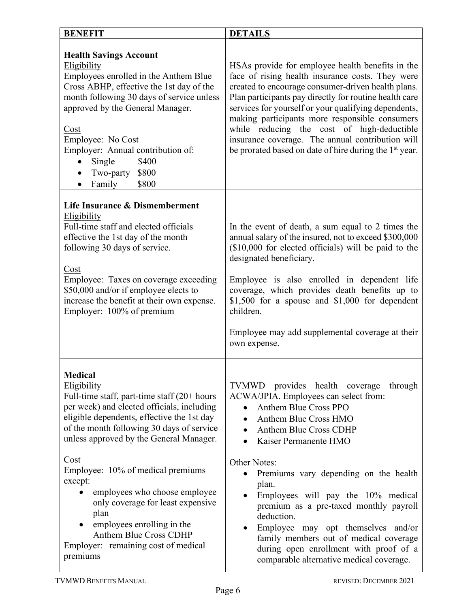| <b>BENEFIT</b>                                                                                                                                                                                                                                                                                                                                                                                                                                                                                                       | <b>DETAILS</b>                                                                                                                                                                                                                                                                                                                                                                                                                                                                                                                                                                     |
|----------------------------------------------------------------------------------------------------------------------------------------------------------------------------------------------------------------------------------------------------------------------------------------------------------------------------------------------------------------------------------------------------------------------------------------------------------------------------------------------------------------------|------------------------------------------------------------------------------------------------------------------------------------------------------------------------------------------------------------------------------------------------------------------------------------------------------------------------------------------------------------------------------------------------------------------------------------------------------------------------------------------------------------------------------------------------------------------------------------|
| <b>Health Savings Account</b><br>Eligibility<br>Employees enrolled in the Anthem Blue<br>Cross ABHP, effective the 1st day of the<br>month following 30 days of service unless<br>approved by the General Manager.<br>Cost<br>Employee: No Cost<br>Employer: Annual contribution of:<br>\$400<br>Single<br>$\bullet$<br>Two-party \$800<br>\$800<br>Family<br>$\bullet$                                                                                                                                              | HSAs provide for employee health benefits in the<br>face of rising health insurance costs. They were<br>created to encourage consumer-driven health plans.<br>Plan participants pay directly for routine health care<br>services for yourself or your qualifying dependents,<br>making participants more responsible consumers<br>while reducing the cost of high-deductible<br>insurance coverage. The annual contribution will<br>be prorated based on date of hire during the 1 <sup>st</sup> year.                                                                             |
| Life Insurance & Dismemberment<br>Eligibility<br>Full-time staff and elected officials<br>effective the 1st day of the month<br>following 30 days of service.<br>Cost<br>Employee: Taxes on coverage exceeding<br>\$50,000 and/or if employee elects to<br>increase the benefit at their own expense.<br>Employer: 100% of premium                                                                                                                                                                                   | In the event of death, a sum equal to 2 times the<br>annual salary of the insured, not to exceed \$300,000<br>(\$10,000 for elected officials) will be paid to the<br>designated beneficiary.<br>Employee is also enrolled in dependent life<br>coverage, which provides death benefits up to<br>\$1,500 for a spouse and $$1,000$ for dependent<br>children.<br>Employee may add supplemental coverage at their<br>own expense.                                                                                                                                                   |
| <b>Medical</b><br>Eligibility<br>Full-time staff, part-time staff $(20+)$ hours<br>per week) and elected officials, including<br>eligible dependents, effective the 1st day<br>of the month following 30 days of service<br>unless approved by the General Manager.<br>Cost<br>Employee: 10% of medical premiums<br>except:<br>employees who choose employee<br>only coverage for least expensive<br>plan<br>employees enrolling in the<br>Anthem Blue Cross CDHP<br>Employer: remaining cost of medical<br>premiums | TVMWD provides health coverage<br>through<br>ACWA/JPIA. Employees can select from:<br><b>Anthem Blue Cross PPO</b><br>Anthem Blue Cross HMO<br>Anthem Blue Cross CDHP<br>$\bullet$<br>Kaiser Permanente HMO<br>$\bullet$<br><b>Other Notes:</b><br>Premiums vary depending on the health<br>plan.<br>Employees will pay the 10% medical<br>$\bullet$<br>premium as a pre-taxed monthly payroll<br>deduction.<br>Employee may opt themselves and/or<br>family members out of medical coverage<br>during open enrollment with proof of a<br>comparable alternative medical coverage. |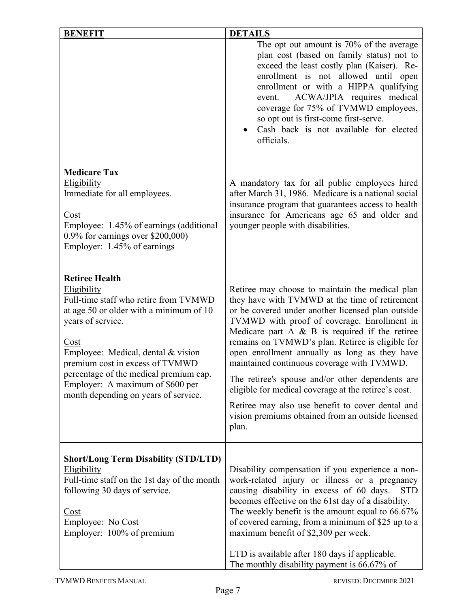| <b>BENEFIT</b>                                                                                                                                                                                                                                                                                                                                       | <b>DETAILS</b>                                                                                                                                                                                                                                                                                                                                                                                                                                                                                                                                                                                                                              |
|------------------------------------------------------------------------------------------------------------------------------------------------------------------------------------------------------------------------------------------------------------------------------------------------------------------------------------------------------|---------------------------------------------------------------------------------------------------------------------------------------------------------------------------------------------------------------------------------------------------------------------------------------------------------------------------------------------------------------------------------------------------------------------------------------------------------------------------------------------------------------------------------------------------------------------------------------------------------------------------------------------|
|                                                                                                                                                                                                                                                                                                                                                      | The opt out amount is 70% of the average<br>plan cost (based on family status) not to<br>exceed the least costly plan (Kaiser). Re-<br>enrollment is not allowed until open<br>enrollment or with a HIPPA qualifying<br>ACWA/JPIA requires medical<br>event.<br>coverage for 75% of TVMWD employees,<br>so opt out is first-come first-serve.<br>Cash back is not available for elected<br>officials.                                                                                                                                                                                                                                       |
| <b>Medicare Tax</b><br>Eligibility<br>Immediate for all employees.<br>Cost<br>Employee: 1.45% of earnings (additional<br>$0.9\%$ for earnings over \$200,000)<br>Employer: 1.45% of earnings                                                                                                                                                         | A mandatory tax for all public employees hired<br>after March 31, 1986. Medicare is a national social<br>insurance program that guarantees access to health<br>insurance for Americans age 65 and older and<br>younger people with disabilities.                                                                                                                                                                                                                                                                                                                                                                                            |
| <b>Retiree Health</b><br>Eligibility<br>Full-time staff who retire from TVMWD<br>at age 50 or older with a minimum of 10<br>years of service.<br>Cost<br>Employee: Medical, dental & vision<br>premium cost in excess of TVMWD<br>percentage of the medical premium cap.<br>Employer: A maximum of \$600 per<br>month depending on years of service. | Retiree may choose to maintain the medical plan<br>they have with TVMWD at the time of retirement<br>or be covered under another licensed plan outside<br>TVMWD with proof of coverage. Enrollment in<br>Medicare part $A \& B$ is required if the retiree<br>remains on TVMWD's plan. Retiree is eligible for<br>open enrollment annually as long as they have<br>maintained continuous coverage with TVMWD.<br>The retiree's spouse and/or other dependents are<br>eligible for medical coverage at the retiree's cost.<br>Retiree may also use benefit to cover dental and<br>vision premiums obtained from an outside licensed<br>plan. |
| <b>Short/Long Term Disability (STD/LTD)</b><br><b>Eligibility</b><br>Full-time staff on the 1st day of the month<br>following 30 days of service.<br>Cost<br>Employee: No Cost<br>Employer: 100% of premium                                                                                                                                          | Disability compensation if you experience a non-<br>work-related injury or illness or a pregnancy<br>causing disability in excess of 60 days.<br><b>STD</b><br>becomes effective on the 61st day of a disability.<br>The weekly benefit is the amount equal to $66.67\%$<br>of covered earning, from a minimum of \$25 up to a<br>maximum benefit of \$2,309 per week.<br>LTD is available after 180 days if applicable.<br>The monthly disability payment is 66.67% of                                                                                                                                                                     |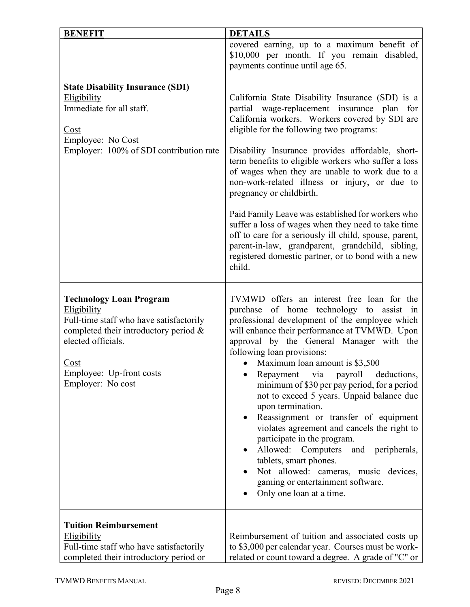| <b>BENEFIT</b>                                                                                                                                                                                                                                   | <b>DETAILS</b>                                                                                                                                                                                                                                                                                                                                                                                                                                                                                                                                                                                                                                                                                                                                                                      |
|--------------------------------------------------------------------------------------------------------------------------------------------------------------------------------------------------------------------------------------------------|-------------------------------------------------------------------------------------------------------------------------------------------------------------------------------------------------------------------------------------------------------------------------------------------------------------------------------------------------------------------------------------------------------------------------------------------------------------------------------------------------------------------------------------------------------------------------------------------------------------------------------------------------------------------------------------------------------------------------------------------------------------------------------------|
|                                                                                                                                                                                                                                                  | covered earning, up to a maximum benefit of<br>\$10,000 per month. If you remain disabled,<br>payments continue until age 65.                                                                                                                                                                                                                                                                                                                                                                                                                                                                                                                                                                                                                                                       |
| <b>State Disability Insurance (SDI)</b><br>Eligibility<br>Immediate for all staff.<br>Cost<br>Employee: No Cost<br>Employer: 100% of SDI contribution rate                                                                                       | California State Disability Insurance (SDI) is a<br>partial wage-replacement insurance plan for<br>California workers. Workers covered by SDI are<br>eligible for the following two programs:<br>Disability Insurance provides affordable, short-<br>term benefits to eligible workers who suffer a loss<br>of wages when they are unable to work due to a<br>non-work-related illness or injury, or due to<br>pregnancy or childbirth.<br>Paid Family Leave was established for workers who<br>suffer a loss of wages when they need to take time<br>off to care for a seriously ill child, spouse, parent,<br>parent-in-law, grandparent, grandchild, sibling,<br>registered domestic partner, or to bond with a new<br>child.                                                    |
| <b>Technology Loan Program</b><br>Eligibility<br>Full-time staff who have satisfactorily<br>completed their introductory period $\&$<br>elected officials.<br>$\frac{\text{Cost}}{\text{Cost}}$<br>Employee: Up-front costs<br>Employer: No cost | TVMWD offers an interest free loan for the<br>purchase of home technology to assist in<br>professional development of the employee which<br>will enhance their performance at TVMWD. Upon<br>approval by the General Manager with the<br>following loan provisions:<br>Maximum loan amount is \$3,500<br>$\bullet$<br>payroll<br>Repayment via<br>deductions,<br>minimum of \$30 per pay period, for a period<br>not to exceed 5 years. Unpaid balance due<br>upon termination.<br>Reassignment or transfer of equipment<br>violates agreement and cancels the right to<br>participate in the program.<br>Allowed: Computers<br>and peripherals,<br>tablets, smart phones.<br>Not allowed: cameras, music devices,<br>gaming or entertainment software.<br>Only one loan at a time. |
| <b>Tuition Reimbursement</b><br>Eligibility<br>Full-time staff who have satisfactorily<br>completed their introductory period or                                                                                                                 | Reimbursement of tuition and associated costs up<br>to \$3,000 per calendar year. Courses must be work-<br>related or count toward a degree. A grade of "C" or                                                                                                                                                                                                                                                                                                                                                                                                                                                                                                                                                                                                                      |